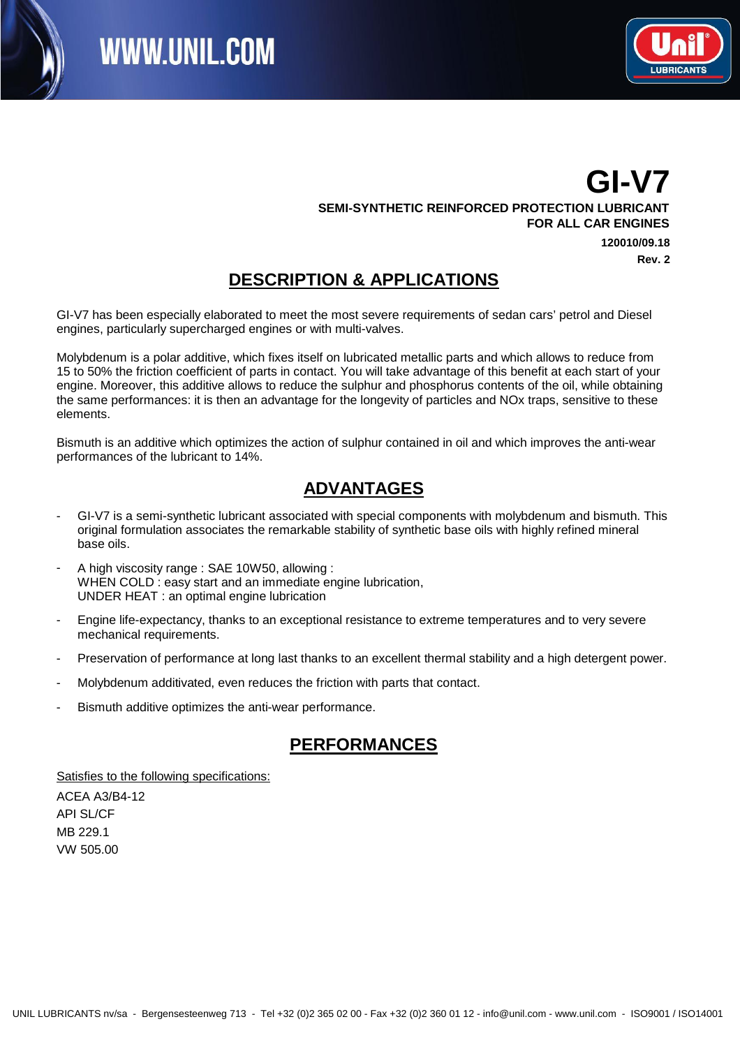



## **GI-V7**

**SEMI-SYNTHETIC REINFORCED PROTECTION LUBRICANT FOR ALL CAR ENGINES**

> **120010/09.18 Rev. 2**

#### **DESCRIPTION & APPLICATIONS**

GI-V7 has been especially elaborated to meet the most severe requirements of sedan cars' petrol and Diesel engines, particularly supercharged engines or with multi-valves.

Molybdenum is a polar additive, which fixes itself on lubricated metallic parts and which allows to reduce from 15 to 50% the friction coefficient of parts in contact. You will take advantage of this benefit at each start of your engine. Moreover, this additive allows to reduce the sulphur and phosphorus contents of the oil, while obtaining the same performances: it is then an advantage for the longevity of particles and NOx traps, sensitive to these elements.

Bismuth is an additive which optimizes the action of sulphur contained in oil and which improves the anti-wear performances of the lubricant to 14%.

## Texte8: **ADVANTAGES**

- GI-V7 is a semi-synthetic lubricant associated with special components with molybdenum and bismuth. This original formulation associates the remarkable stability of synthetic base oils with highly refined mineral base oils. -
- A high viscosity range : SAE 10W50, allowing : WHEN COLD : easy start and an immediate engine lubrication, UNDER HEAT : an optimal engine lubrication -
- Engine life-expectancy, thanks to an exceptional resistance to extreme temperatures and to very severe mechanical requirements. -
- Preservation of performance at long last thanks to an excellent thermal stability and a high detergent power.
- Molybdenum additivated, even reduces the friction with parts that contact.
- Bismuth additive optimizes the anti-wear performance.

#### **PERFORMANCES**

Satisfies to the following specifications:

ACEA A3/B4-12 **API SL/CF** MB 229.1 VW 505.00